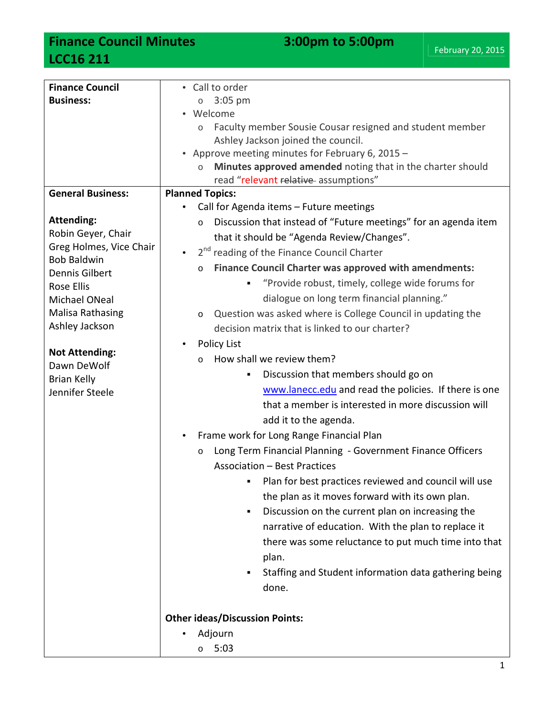## **Finance Council Minutes 3:00pm to 5:00pm LCC16 211**

| <b>Finance Council</b>            | • Call to order                                                            |
|-----------------------------------|----------------------------------------------------------------------------|
| <b>Business:</b>                  | $3:05$ pm<br>$\circ$                                                       |
|                                   | • Welcome                                                                  |
|                                   | Faculty member Sousie Cousar resigned and student member                   |
|                                   | Ashley Jackson joined the council.                                         |
|                                   | • Approve meeting minutes for February 6, 2015 -                           |
|                                   | Minutes approved amended noting that in the charter should<br>$\circ$      |
|                                   | read "relevant relative assumptions"                                       |
| <b>General Business:</b>          | <b>Planned Topics:</b>                                                     |
| <b>Attending:</b>                 | Call for Agenda items - Future meetings                                    |
| Robin Geyer, Chair                | Discussion that instead of "Future meetings" for an agenda item<br>$\circ$ |
| Greg Holmes, Vice Chair           | that it should be "Agenda Review/Changes".                                 |
| <b>Bob Baldwin</b>                | 2 <sup>nd</sup> reading of the Finance Council Charter                     |
| <b>Dennis Gilbert</b>             | <b>Finance Council Charter was approved with amendments:</b><br>$\circ$    |
| Rose Ellis                        | "Provide robust, timely, college wide forums for<br>٠                      |
| Michael ONeal                     | dialogue on long term financial planning."                                 |
| <b>Malisa Rathasing</b>           | Question was asked where is College Council in updating the<br>$\circ$     |
| Ashley Jackson                    | decision matrix that is linked to our charter?                             |
|                                   | <b>Policy List</b><br>$\bullet$                                            |
| <b>Not Attending:</b>             | How shall we review them?<br>$\Omega$                                      |
| Dawn DeWolf<br><b>Brian Kelly</b> | Discussion that members should go on<br>٠                                  |
| Jennifer Steele                   | www.lanecc.edu and read the policies. If there is one                      |
|                                   | that a member is interested in more discussion will                        |
|                                   | add it to the agenda.                                                      |
|                                   | Frame work for Long Range Financial Plan<br>$\bullet$                      |
|                                   | Long Term Financial Planning - Government Finance Officers<br>O            |
|                                   | <b>Association - Best Practices</b>                                        |
|                                   | Plan for best practices reviewed and council will use                      |
|                                   | the plan as it moves forward with its own plan.                            |
|                                   | ٠                                                                          |
|                                   | Discussion on the current plan on increasing the                           |
|                                   | narrative of education. With the plan to replace it                        |
|                                   | there was some reluctance to put much time into that                       |
|                                   | plan.                                                                      |
|                                   | Staffing and Student information data gathering being                      |
|                                   | done.                                                                      |
|                                   |                                                                            |
|                                   | <b>Other ideas/Discussion Points:</b>                                      |
|                                   | Adjourn                                                                    |
|                                   | 5:03<br>$\circ$                                                            |